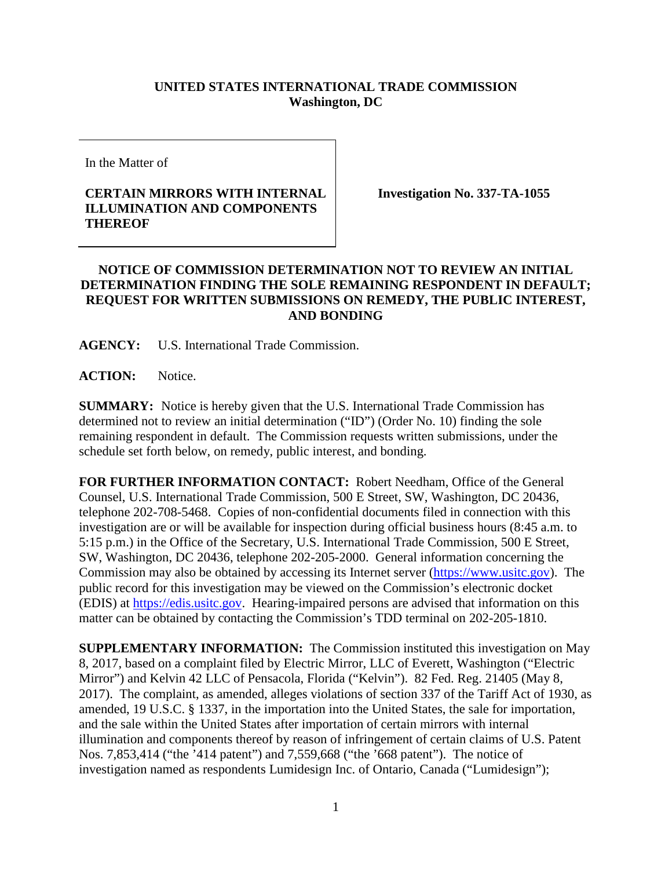## **UNITED STATES INTERNATIONAL TRADE COMMISSION Washington, DC**

In the Matter of

## **CERTAIN MIRRORS WITH INTERNAL ILLUMINATION AND COMPONENTS THEREOF**

**Investigation No. 337-TA-1055**

## **NOTICE OF COMMISSION DETERMINATION NOT TO REVIEW AN INITIAL DETERMINATION FINDING THE SOLE REMAINING RESPONDENT IN DEFAULT; REQUEST FOR WRITTEN SUBMISSIONS ON REMEDY, THE PUBLIC INTEREST, AND BONDING**

**AGENCY:** U.S. International Trade Commission.

**ACTION:** Notice.

**SUMMARY:** Notice is hereby given that the U.S. International Trade Commission has determined not to review an initial determination ("ID") (Order No. 10) finding the sole remaining respondent in default. The Commission requests written submissions, under the schedule set forth below, on remedy, public interest, and bonding.

**FOR FURTHER INFORMATION CONTACT:** Robert Needham, Office of the General Counsel, U.S. International Trade Commission, 500 E Street, SW, Washington, DC 20436, telephone 202-708-5468. Copies of non-confidential documents filed in connection with this investigation are or will be available for inspection during official business hours (8:45 a.m. to 5:15 p.m.) in the Office of the Secretary, U.S. International Trade Commission, 500 E Street, SW, Washington, DC 20436, telephone 202-205-2000. General information concerning the Commission may also be obtained by accessing its Internet server [\(https://www.usitc.gov\)](http://www.usitc.gov/). The public record for this investigation may be viewed on the Commission's electronic docket (EDIS) at [https://edis.usitc.gov.](http://edis.usitc.gov/) Hearing-impaired persons are advised that information on this matter can be obtained by contacting the Commission's TDD terminal on 202-205-1810.

**SUPPLEMENTARY INFORMATION:** The Commission instituted this investigation on May 8, 2017, based on a complaint filed by Electric Mirror, LLC of Everett, Washington ("Electric Mirror") and Kelvin 42 LLC of Pensacola, Florida ("Kelvin"). 82 Fed. Reg. 21405 (May 8, 2017). The complaint, as amended, alleges violations of section 337 of the Tariff Act of 1930, as amended, 19 U.S.C. § 1337, in the importation into the United States, the sale for importation, and the sale within the United States after importation of certain mirrors with internal illumination and components thereof by reason of infringement of certain claims of U.S. Patent Nos. 7,853,414 ("the '414 patent") and 7,559,668 ("the '668 patent"). The notice of investigation named as respondents Lumidesign Inc. of Ontario, Canada ("Lumidesign");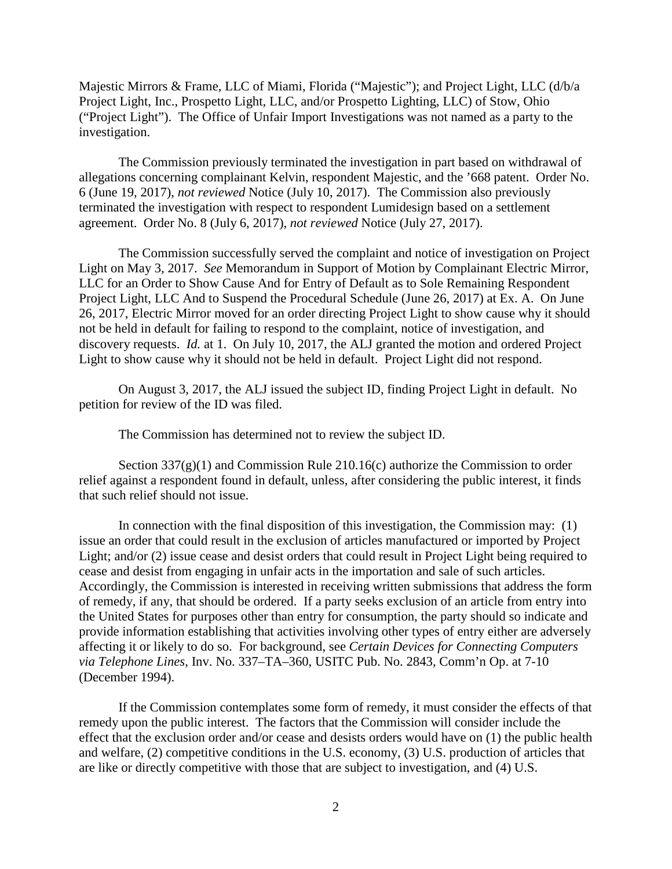Majestic Mirrors & Frame, LLC of Miami, Florida ("Majestic"); and Project Light, LLC (d/b/a Project Light, Inc., Prospetto Light, LLC, and/or Prospetto Lighting, LLC) of Stow, Ohio ("Project Light"). The Office of Unfair Import Investigations was not named as a party to the investigation.

The Commission previously terminated the investigation in part based on withdrawal of allegations concerning complainant Kelvin, respondent Majestic, and the '668 patent. Order No. 6 (June 19, 2017), *not reviewed* Notice (July 10, 2017). The Commission also previously terminated the investigation with respect to respondent Lumidesign based on a settlement agreement. Order No. 8 (July 6, 2017), *not reviewed* Notice (July 27, 2017).

The Commission successfully served the complaint and notice of investigation on Project Light on May 3, 2017. *See* Memorandum in Support of Motion by Complainant Electric Mirror, LLC for an Order to Show Cause And for Entry of Default as to Sole Remaining Respondent Project Light, LLC And to Suspend the Procedural Schedule (June 26, 2017) at Ex. A. On June 26, 2017, Electric Mirror moved for an order directing Project Light to show cause why it should not be held in default for failing to respond to the complaint, notice of investigation, and discovery requests. *Id.* at 1. On July 10, 2017, the ALJ granted the motion and ordered Project Light to show cause why it should not be held in default. Project Light did not respond.

On August 3, 2017, the ALJ issued the subject ID, finding Project Light in default. No petition for review of the ID was filed.

The Commission has determined not to review the subject ID.

Section  $337(g)(1)$  and Commission Rule 210.16(c) authorize the Commission to order relief against a respondent found in default, unless, after considering the public interest, it finds that such relief should not issue.

In connection with the final disposition of this investigation, the Commission may: (1) issue an order that could result in the exclusion of articles manufactured or imported by Project Light; and/or (2) issue cease and desist orders that could result in Project Light being required to cease and desist from engaging in unfair acts in the importation and sale of such articles. Accordingly, the Commission is interested in receiving written submissions that address the form of remedy, if any, that should be ordered. If a party seeks exclusion of an article from entry into the United States for purposes other than entry for consumption, the party should so indicate and provide information establishing that activities involving other types of entry either are adversely affecting it or likely to do so. For background, see *Certain Devices for Connecting Computers via Telephone Lines*, Inv. No. 337–TA–360, USITC Pub. No. 2843, Comm'n Op. at 7-10 (December 1994).

If the Commission contemplates some form of remedy, it must consider the effects of that remedy upon the public interest. The factors that the Commission will consider include the effect that the exclusion order and/or cease and desists orders would have on (1) the public health and welfare, (2) competitive conditions in the U.S. economy, (3) U.S. production of articles that are like or directly competitive with those that are subject to investigation, and (4) U.S.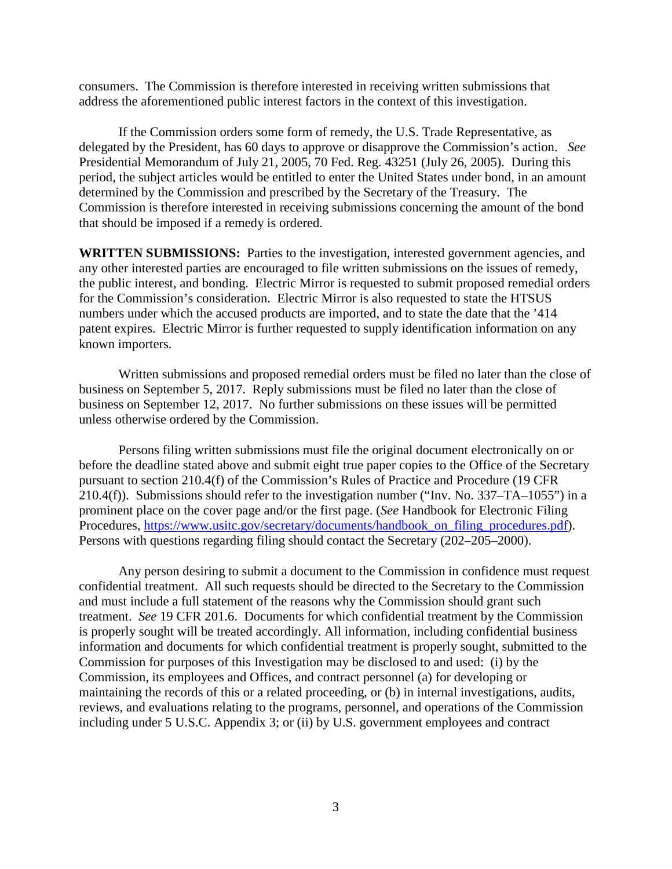consumers. The Commission is therefore interested in receiving written submissions that address the aforementioned public interest factors in the context of this investigation.

If the Commission orders some form of remedy, the U.S. Trade Representative, as delegated by the President, has 60 days to approve or disapprove the Commission's action. *See* Presidential Memorandum of July 21, 2005, 70 Fed. Reg. 43251 (July 26, 2005). During this period, the subject articles would be entitled to enter the United States under bond, in an amount determined by the Commission and prescribed by the Secretary of the Treasury. The Commission is therefore interested in receiving submissions concerning the amount of the bond that should be imposed if a remedy is ordered.

**WRITTEN SUBMISSIONS:** Parties to the investigation, interested government agencies, and any other interested parties are encouraged to file written submissions on the issues of remedy, the public interest, and bonding. Electric Mirror is requested to submit proposed remedial orders for the Commission's consideration. Electric Mirror is also requested to state the HTSUS numbers under which the accused products are imported, and to state the date that the '414 patent expires. Electric Mirror is further requested to supply identification information on any known importers.

Written submissions and proposed remedial orders must be filed no later than the close of business on September 5, 2017. Reply submissions must be filed no later than the close of business on September 12, 2017. No further submissions on these issues will be permitted unless otherwise ordered by the Commission.

Persons filing written submissions must file the original document electronically on or before the deadline stated above and submit eight true paper copies to the Office of the Secretary pursuant to section 210.4(f) of the Commission's Rules of Practice and Procedure (19 CFR 210.4(f)). Submissions should refer to the investigation number ("Inv. No. 337–TA–1055") in a prominent place on the cover page and/or the first page. (*See* Handbook for Electronic Filing Procedures, [https://www.usitc.gov/secretary/documents/handbook\\_on\\_filing\\_procedures.pdf\)](https://www.usitc.gov/secretary/documents/handbook_on_filing_procedures.pdf). Persons with questions regarding filing should contact the Secretary (202–205–2000).

Any person desiring to submit a document to the Commission in confidence must request confidential treatment. All such requests should be directed to the Secretary to the Commission and must include a full statement of the reasons why the Commission should grant such treatment. *See* 19 CFR 201.6. Documents for which confidential treatment by the Commission is properly sought will be treated accordingly. All information, including confidential business information and documents for which confidential treatment is properly sought, submitted to the Commission for purposes of this Investigation may be disclosed to and used: (i) by the Commission, its employees and Offices, and contract personnel (a) for developing or maintaining the records of this or a related proceeding, or (b) in internal investigations, audits, reviews, and evaluations relating to the programs, personnel, and operations of the Commission including under 5 U.S.C. Appendix 3; or (ii) by U.S. government employees and contract